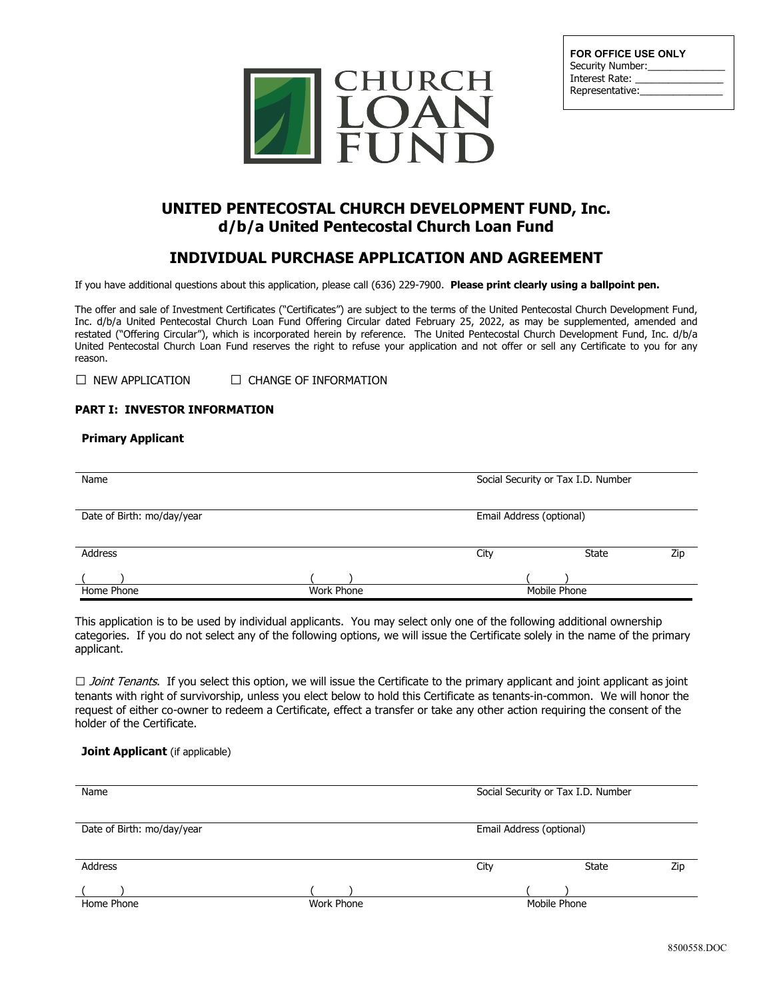

| <b>FOR OFFICE USE ONLY</b><br>Security Number: |
|------------------------------------------------|
| Interest Rate:                                 |
| Representative:                                |
|                                                |

# **UNITED PENTECOSTAL CHURCH DEVELOPMENT FUND, Inc. d/b/a United Pentecostal Church Loan Fund**

# **INDIVIDUAL PURCHASE APPLICATION AND AGREEMENT**

If you have additional questions about this application, please call (636) 229-7900. **Please print clearly using a ballpoint pen.**

The offer and sale of Investment Certificates ("Certificates") are subject to the terms of the United Pentecostal Church Development Fund, Inc. d/b/a United Pentecostal Church Loan Fund Offering Circular dated February 25, 2022, as may be supplemented, amended and restated ("Offering Circular"), which is incorporated herein by reference. The United Pentecostal Church Development Fund, Inc. d/b/a United Pentecostal Church Loan Fund reserves the right to refuse your application and not offer or sell any Certificate to you for any reason.

 $\Box$  NEW APPLICATION  $\Box$  CHANGE OF INFORMATION

# **PART I: INVESTOR INFORMATION**

# **Primary Applicant**

| Social Security or Tax I.D. Number<br>Name |                   |                          |              |     |
|--------------------------------------------|-------------------|--------------------------|--------------|-----|
| Date of Birth: mo/day/year                 |                   | Email Address (optional) |              |     |
| Address                                    |                   | City                     | State        | Zip |
| Home Phone                                 | <b>Work Phone</b> |                          | Mobile Phone |     |

This application is to be used by individual applicants. You may select only one of the following additional ownership categories. If you do not select any of the following options, we will issue the Certificate solely in the name of the primary applicant.

□ Joint Tenants. If you select this option, we will issue the Certificate to the primary applicant and joint applicant as joint tenants with right of survivorship, unless you elect below to hold this Certificate as tenants-in-common. We will honor the request of either co-owner to redeem a Certificate, effect a transfer or take any other action requiring the consent of the holder of the Certificate.

### **Joint Applicant** (if applicable)

| Name                       |            | Social Security or Tax I.D. Number |              |     |
|----------------------------|------------|------------------------------------|--------------|-----|
| Date of Birth: mo/day/year |            | Email Address (optional)           |              |     |
| Address                    |            | City                               | <b>State</b> | Zip |
| Home Phone                 | Work Phone |                                    | Mobile Phone |     |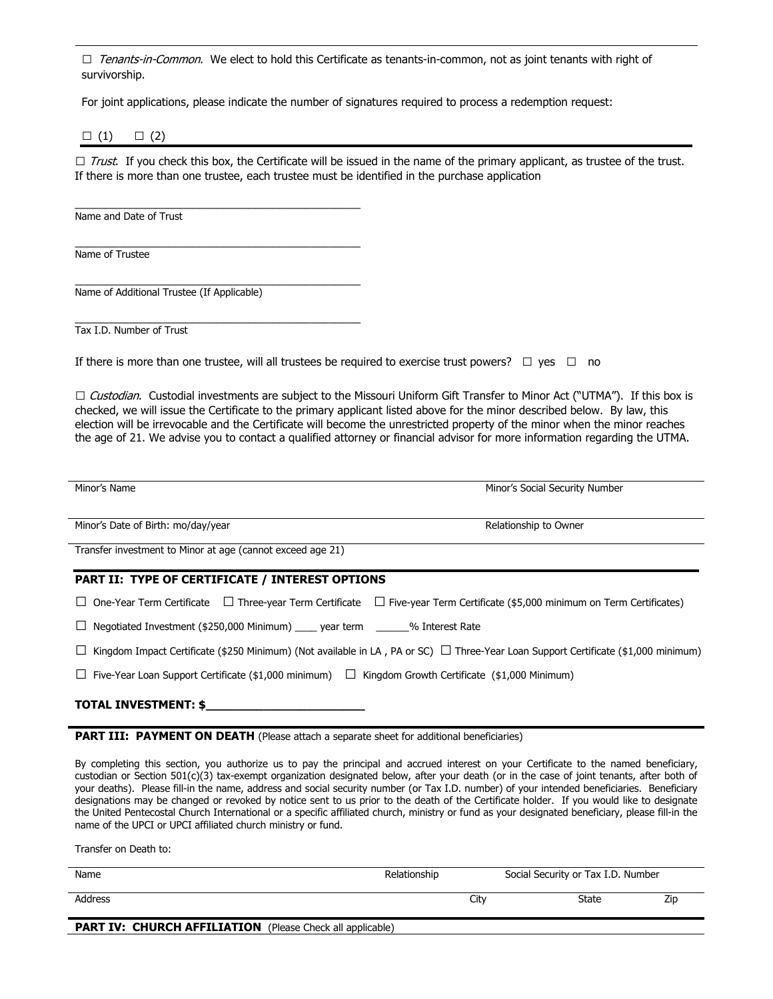□ Tenants-in-Common. We elect to hold this Certificate as tenants-in-common, not as joint tenants with right of survivorship.

For joint applications, please indicate the number of signatures required to process a redemption request:

|  | { |
|--|---|
|  |   |

 $\Box$  Trust. If you check this box, the Certificate will be issued in the name of the primary applicant, as trustee of the trust. If there is more than one trustee, each trustee must be identified in the purchase application

\_\_\_\_\_\_\_\_\_\_\_\_\_\_\_\_\_\_\_\_\_\_\_\_\_\_\_\_\_\_\_\_\_\_\_\_\_\_\_\_\_\_\_\_\_\_ Name and Date of Trust

\_\_\_\_\_\_\_\_\_\_\_\_\_\_\_\_\_\_\_\_\_\_\_\_\_\_\_\_\_\_\_\_\_\_\_\_\_\_\_\_\_\_\_\_\_\_ Name of Trustee

\_\_\_\_\_\_\_\_\_\_\_\_\_\_\_\_\_\_\_\_\_\_\_\_\_\_\_\_\_\_\_\_\_\_\_\_\_\_\_\_\_\_\_\_\_\_ Name of Additional Trustee (If Applicable)

\_\_\_\_\_\_\_\_\_\_\_\_\_\_\_\_\_\_\_\_\_\_\_\_\_\_\_\_\_\_\_\_\_\_\_\_\_\_\_\_\_\_\_\_\_\_ Tax I.D. Number of Trust

If there is more than one trustee, will all trustees be required to exercise trust powers?  $\Box$  yes  $\Box$  no

□ Custodian. Custodial investments are subject to the Missouri Uniform Gift Transfer to Minor Act ("UTMA"). If this box is checked, we will issue the Certificate to the primary applicant listed above for the minor described below. By law, this election will be irrevocable and the Certificate will become the unrestricted property of the minor when the minor reaches the age of 21. We advise you to contact a qualified attorney or financial advisor for more information regarding the UTMA.

Minor's Name Minor's Social Security Number

Minor's Date of Birth: mo/day/year **Relationship to Owner** Relationship to Owner

Transfer investment to Minor at age (cannot exceed age 21)

# **PART II: TYPE OF CERTIFICATE / INTEREST OPTIONS**

 $\Box$  One-Year Term Certificate  $\Box$  Three-year Term Certificate  $\Box$  Five-year Term Certificate (\$5,000 minimum on Term Certificates)

 $\Box$  Negotiated Investment (\$250,000 Minimum) year term  $\degree$  % Interest Rate

 $□$  Kingdom Impact Certificate (\$250 Minimum) (Not available in LA, PA or SC)  $□$  Three-Year Loan Support Certificate (\$1,000 minimum)

 $□$  Five-Year Loan Support Certificate (\$1,000 minimum)  $□$  Kingdom Growth Certificate (\$1,000 Minimum)

#### **TOTAL INVESTMENT: \$\_\_\_\_\_\_\_\_\_\_\_\_\_\_\_\_\_\_\_\_\_\_**

**PART III: PAYMENT ON DEATH** (Please attach a separate sheet for additional beneficiaries)

By completing this section, you authorize us to pay the principal and accrued interest on your Certificate to the named beneficiary, custodian or Section 501(c)(3) tax-exempt organization designated below, after your death (or in the case of joint tenants, after both of your deaths). Please fill-in the name, address and social security number (or Tax I.D. number) of your intended beneficiaries. Beneficiary designations may be changed or revoked by notice sent to us prior to the death of the Certificate holder. If you would like to designate the United Pentecostal Church International or a specific affiliated church, ministry or fund as your designated beneficiary, please fill-in the name of the UPCI or UPCI affiliated church ministry or fund.

Transfer on Death to:

| Name                                                             | Relationship | Social Security or Tax I.D. Number |     |
|------------------------------------------------------------------|--------------|------------------------------------|-----|
| Address                                                          | City         | <b>State</b>                       | Zip |
| <b>PART IV: CHURCH AFFILIATION</b> (Please Check all applicable) |              |                                    |     |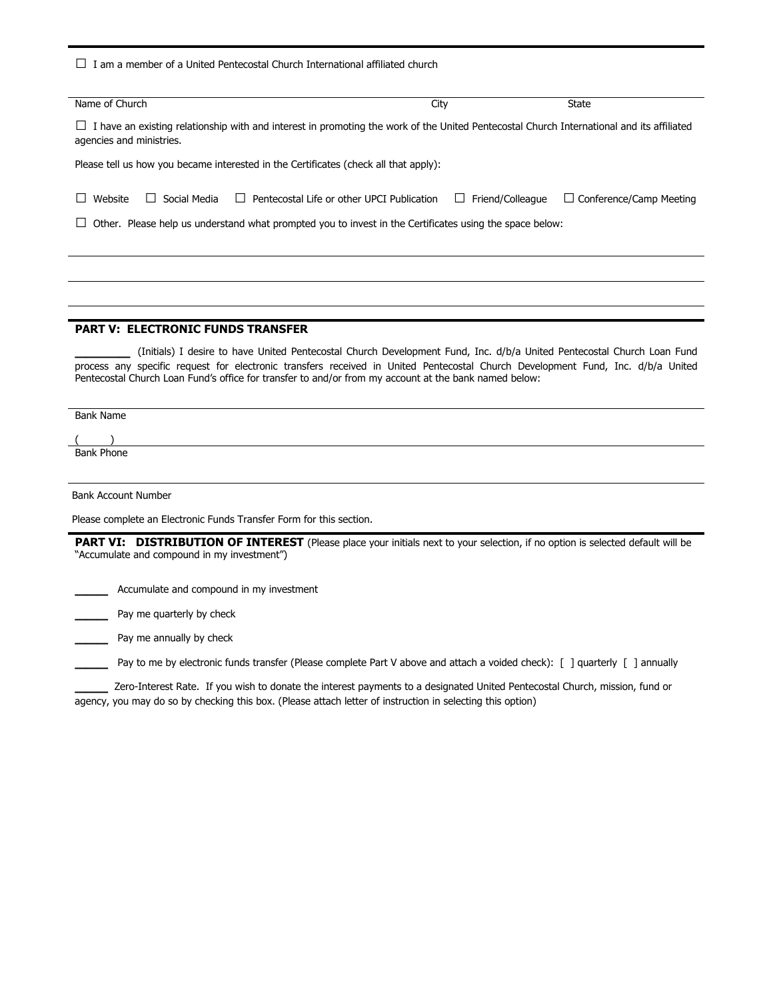$\Box$  I am a member of a United Pentecostal Church International affiliated church Name of Church State City State City State State City State State State City State State State State City State State State State State State State State State State State State State State State State State State State St  $\Box$  I have an existing relationship with and interest in promoting the work of the United Pentecostal Church International and its affiliated agencies and ministries. Please tell us how you became interested in the Certificates (check all that apply): □ Website □ Social Media □ Pentecostal Life or other UPCI Publication □ Friend/Colleague □ Conference/Camp Meeting  $\square$  Other. Please help us understand what prompted you to invest in the Certificates using the space below: **PART V: ELECTRONIC FUNDS TRANSFER** \_\_\_\_\_ (Initials) I desire to have United Pentecostal Church Development Fund, Inc. d/b/a United Pentecostal Church Loan Fund process any specific request for electronic transfers received in United Pentecostal Church Development Fund, Inc. d/b/a United Pentecostal Church Loan Fund's office for transfer to and/or from my account at the bank named below: Bank Name ( ) Bank Phone Bank Account Number

Please complete an Electronic Funds Transfer Form for this section.

PART VI: DISTRIBUTION OF INTEREST (Please place your initials next to your selection, if no option is selected default will be "Accumulate and compound in my investment")

\_\_\_ Accumulate and compound in my investment

\_\_\_ Pay me quarterly by check

Pay me annually by check

\_\_\_ Pay to me by electronic funds transfer (Please complete Part V above and attach a voided check): [ ] quarterly [ ] annually

\_\_\_ Zero-Interest Rate. If you wish to donate the interest payments to a designated United Pentecostal Church, mission, fund or agency, you may do so by checking this box. (Please attach letter of instruction in selecting this option)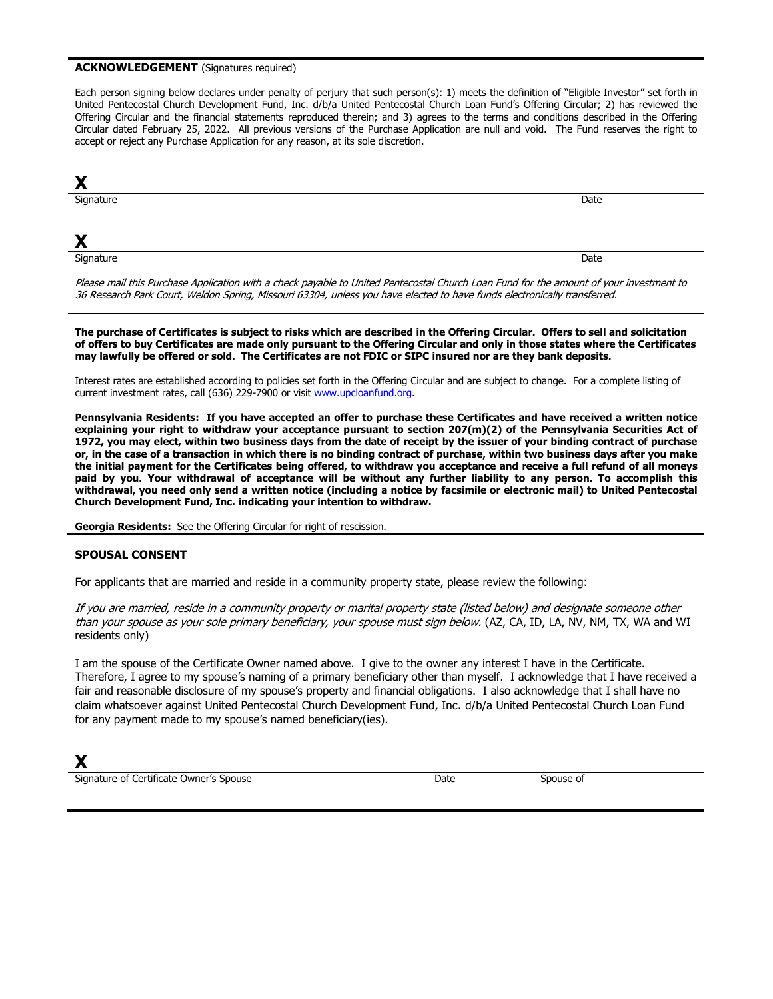#### **ACKNOWLEDGEMENT** (Signatures required)

Each person signing below declares under penalty of perjury that such person(s): 1) meets the definition of "Eligible Investor" set forth in United Pentecostal Church Development Fund, Inc. d/b/a United Pentecostal Church Loan Fund's Offering Circular; 2) has reviewed the Offering Circular and the financial statements reproduced therein; and 3) agrees to the terms and conditions described in the Offering Circular dated February 25, 2022. All previous versions of the Purchase Application are null and void. The Fund reserves the right to accept or reject any Purchase Application for any reason, at its sole discretion.

| X              |      |
|----------------|------|
| Signature      | Date |
|                |      |
| $\blacksquare$ |      |

Signature

Signature Date of the Contract of the Contract of the Contract of the Contract of the Contract of the Contract of the Date of the Contract of the Contract of the Contract of the Contract of the Contract of the Contract of

Please mail this Purchase Application with a check payable to United Pentecostal Church Loan Fund for the amount of your investment to 36 Research Park Court, Weldon Spring, Missouri 63304, unless you have elected to have funds electronically transferred.

**The purchase of Certificates is subject to risks which are described in the Offering Circular. Offers to sell and solicitation of offers to buy Certificates are made only pursuant to the Offering Circular and only in those states where the Certificates may lawfully be offered or sold. The Certificates are not FDIC or SIPC insured nor are they bank deposits.**

Interest rates are established according to policies set forth in the Offering Circular and are subject to change. For a complete listing of current investment rates, call (636) 229-7900 or visit [www.upcloanfund.org.](http://www.upcloanfund.org/) 

**Pennsylvania Residents: If you have accepted an offer to purchase these Certificates and have received a written notice explaining your right to withdraw your acceptance pursuant to section 207(m)(2) of the Pennsylvania Securities Act of 1972, you may elect, within two business days from the date of receipt by the issuer of your binding contract of purchase or, in the case of a transaction in which there is no binding contract of purchase, within two business days after you make the initial payment for the Certificates being offered, to withdraw you acceptance and receive a full refund of all moneys paid by you. Your withdrawal of acceptance will be without any further liability to any person. To accomplish this withdrawal, you need only send a written notice (including a notice by facsimile or electronic mail) to United Pentecostal Church Development Fund, Inc. indicating your intention to withdraw.**

**Georgia Residents:** See the Offering Circular for right of rescission.

# **SPOUSAL CONSENT**

For applicants that are married and reside in a community property state, please review the following:

If you are married, reside in a community property or marital property state (listed below) and designate someone other than your spouse as your sole primary beneficiary, your spouse must sign below. (AZ, CA, ID, LA, NV, NM, TX, WA and WI residents only)

I am the spouse of the Certificate Owner named above. I give to the owner any interest I have in the Certificate. Therefore, I agree to my spouse's naming of a primary beneficiary other than myself. I acknowledge that I have received a fair and reasonable disclosure of my spouse's property and financial obligations. I also acknowledge that I shall have no claim whatsoever against United Pentecostal Church Development Fund, Inc. d/b/a United Pentecostal Church Loan Fund for any payment made to my spouse's named beneficiary(ies).

# **X**

Signature of Certificate Owner's Spouse Date Spouse of